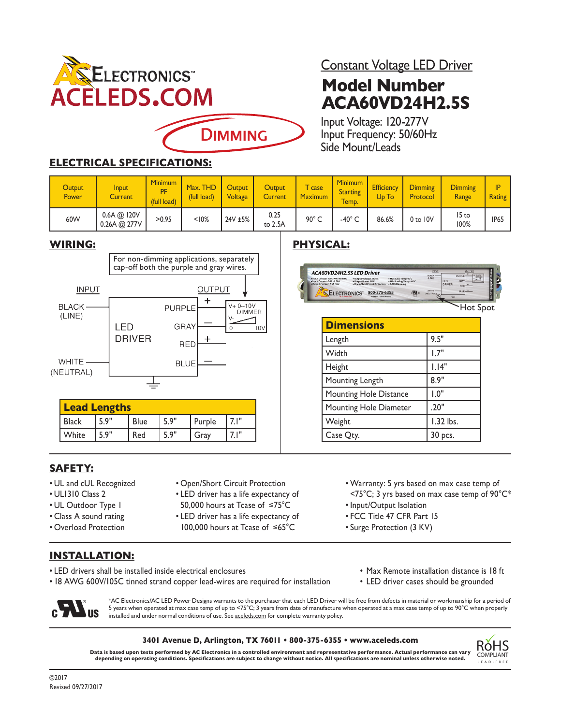

Constant Voltage LED Driver

# **Model Number ACA60VD24H2.5S**

Input Voltage: 120-277V Input Frequency: 50/60Hz Side Mount/Leads

**Dimensions**

Hz . Output Voltage: 24V<br>Output Power: 60W

ELECTRONICS 800-375-6355

ACA60VD24H2.5S LED Driver 120-277V, 50<br>0.6A - 0.26A

> Length 9.5" Width  $\vert$  1.7" Height 1.14" Mounting Length 8.9" Mounting Hole Distance | 1.0" Mounting Hole Diameter 1.20" Weight 1.32 lbs.  $\begin{array}{ccc} \text{Case Qty.} & & \text{30 pcs.} \\ \end{array}$

### **ELECTRICAL SPECIFICATIONS:**

| <b>Output</b><br>Power | Input<br>Current            | <b>Minimum</b><br><b>DE</b><br>(full load) | Max. THD<br>(full load) | Output<br>Voltage | <b>Output</b><br><b>Current</b> | case<br><b>Maximum</b> | <b>Minimum</b><br><b>Starting</b><br>Temp. | <b>Efficiency</b><br>U <sub>D</sub> To | <b>Dimming</b><br>Protocol | <b>Dimming</b><br>Range | <b>Rating</b> |
|------------------------|-----------------------------|--------------------------------------------|-------------------------|-------------------|---------------------------------|------------------------|--------------------------------------------|----------------------------------------|----------------------------|-------------------------|---------------|
| 60W                    | 0.6A @ I20V<br>0.26A @ 277V | >0.95                                      | < 10%                   | 24V ±5%           | 0.25<br>to 2.5A                 | $90^{\circ}$ C         | -40 $^{\circ}$                             | 86.6%                                  | $0$ to $10V$               | 15 to<br>100%           | <b>IP65</b>   |
|                        |                             |                                            |                         |                   |                                 |                        |                                            |                                        |                            |                         |               |

#### **WIRING: PHYSICAL:**



#### **SAFETY:**

- UL and cUL Recognized
- UL1310 Class 2 • UL Outdoor Type 1

• Class A sound rating • Overload Protection

- LED driver has a life expectancy of
	- 50,000 hours at Tcase of ≤75°C

• Open/Short Circuit Protection

- LED driver has a life expectancy of
- 100,000 hours at Tcase of ≤65°C
- Warranty: 5 yrs based on max case temp of <75°C; 3 yrs based on max case temp of 90°C\*
- Input/Output Isolation
- FCC Title 47 CFR Part 15
- Surge Protection (3 KV)

#### **INSTALLATION:**

- LED drivers shall be installed inside electrical enclosures Max Remote installation distance is 18 ft
- 18 AWG 600V/105C tinned strand copper lead-wires are required for installation LED driver cases should be grounded



#### **3401 Avenue D, Arlington, TX 76011 • 800-375-6355 • www.aceleds.com**

**Data is based upon tests performed by AC Electronics in a controlled environment and representative performance. Actual performance can vary depending on operating conditions. Specifications are subject to change without notice. All specifications are nominal unless otherwise noted.**



Hot Spot